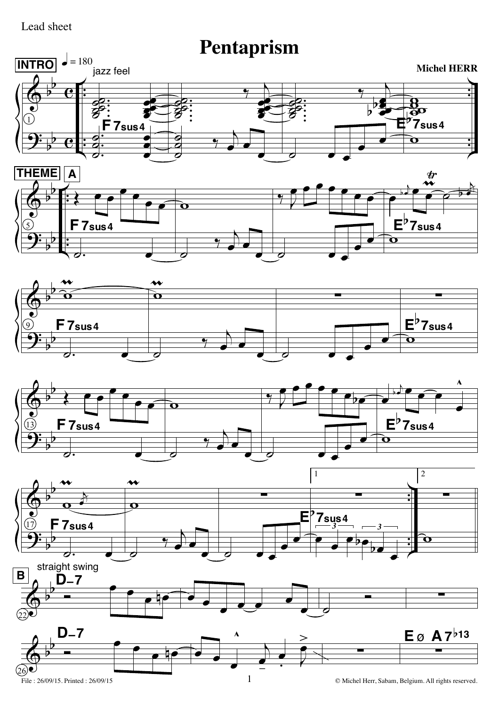## Lead sheet

## **Pentaprism**